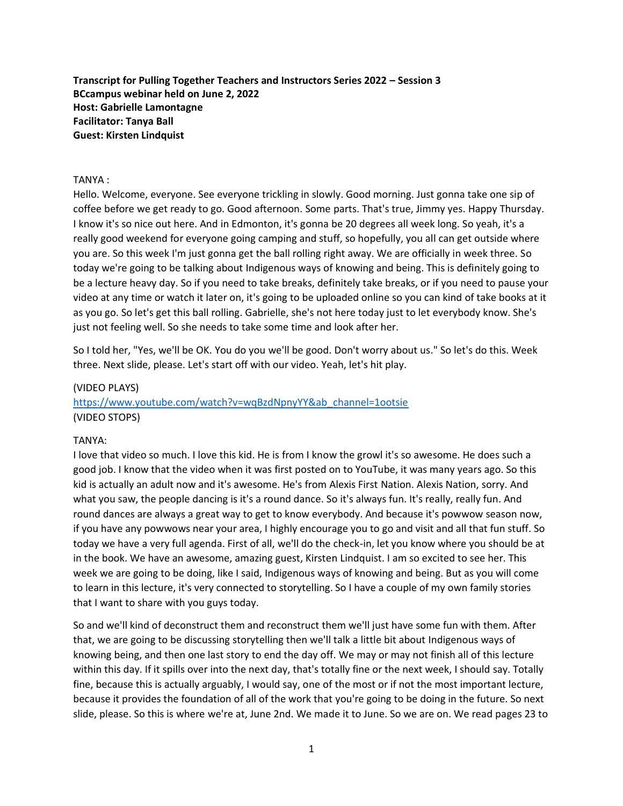**Transcript for Pulling Together Teachers and Instructors Series 2022 – Session 3 BCcampus webinar held on June 2, 2022 Host: Gabrielle Lamontagne Facilitator: Tanya Ball Guest: Kirsten Lindquist**

#### TANYA :

Hello. Welcome, everyone. See everyone trickling in slowly. Good morning. Just gonna take one sip of coffee before we get ready to go. Good afternoon. Some parts. That's true, Jimmy yes. Happy Thursday. I know it's so nice out here. And in Edmonton, it's gonna be 20 degrees all week long. So yeah, it's a really good weekend for everyone going camping and stuff, so hopefully, you all can get outside where you are. So this week I'm just gonna get the ball rolling right away. We are officially in week three. So today we're going to be talking about Indigenous ways of knowing and being. This is definitely going to be a lecture heavy day. So if you need to take breaks, definitely take breaks, or if you need to pause your video at any time or watch it later on, it's going to be uploaded online so you can kind of take books at it as you go. So let's get this ball rolling. Gabrielle, she's not here today just to let everybody know. She's just not feeling well. So she needs to take some time and look after her.

So I told her, "Yes, we'll be OK. You do you we'll be good. Don't worry about us." So let's do this. Week three. Next slide, please. Let's start off with our video. Yeah, let's hit play.

# (VIDEO PLAYS) [https://www.youtube.com/watch?v=wqBzdNpnyYY&ab\\_channel=1ootsie](https://www.youtube.com/watch?v=wqBzdNpnyYY&ab_channel=1ootsie) (VIDEO STOPS)

### TANYA:

I love that video so much. I love this kid. He is from I know the growl it's so awesome. He does such a good job. I know that the video when it was first posted on to YouTube, it was many years ago. So this kid is actually an adult now and it's awesome. He's from Alexis First Nation. Alexis Nation, sorry. And what you saw, the people dancing is it's a round dance. So it's always fun. It's really, really fun. And round dances are always a great way to get to know everybody. And because it's powwow season now, if you have any powwows near your area, I highly encourage you to go and visit and all that fun stuff. So today we have a very full agenda. First of all, we'll do the check-in, let you know where you should be at in the book. We have an awesome, amazing guest, Kirsten Lindquist. I am so excited to see her. This week we are going to be doing, like I said, Indigenous ways of knowing and being. But as you will come to learn in this lecture, it's very connected to storytelling. So I have a couple of my own family stories that I want to share with you guys today.

So and we'll kind of deconstruct them and reconstruct them we'll just have some fun with them. After that, we are going to be discussing storytelling then we'll talk a little bit about Indigenous ways of knowing being, and then one last story to end the day off. We may or may not finish all of this lecture within this day. If it spills over into the next day, that's totally fine or the next week, I should say. Totally fine, because this is actually arguably, I would say, one of the most or if not the most important lecture, because it provides the foundation of all of the work that you're going to be doing in the future. So next slide, please. So this is where we're at, June 2nd. We made it to June. So we are on. We read pages 23 to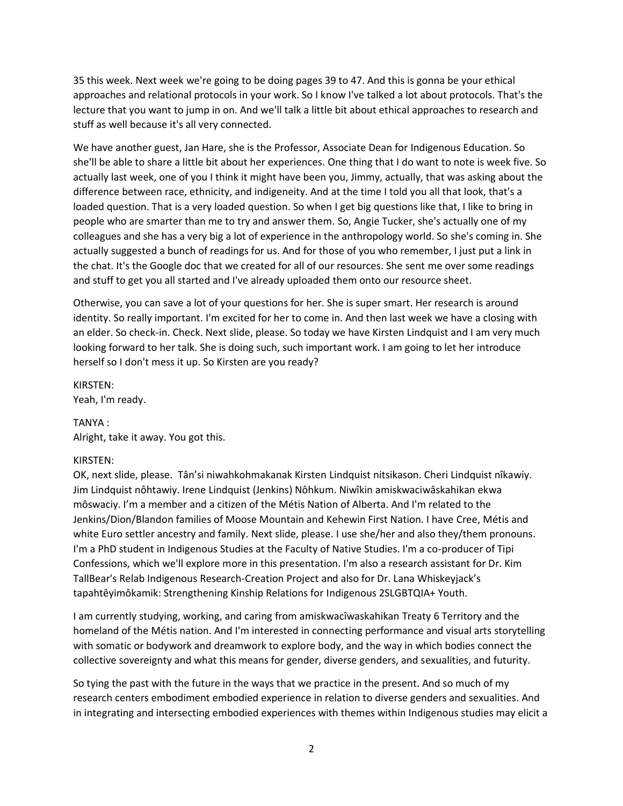35 this week. Next week we're going to be doing pages 39 to 47. And this is gonna be your ethical approaches and relational protocols in your work. So I know I've talked a lot about protocols. That's the lecture that you want to jump in on. And we'll talk a little bit about ethical approaches to research and stuff as well because it's all very connected.

We have another guest, Jan Hare, she is the Professor, Associate Dean for Indigenous Education. So she'll be able to share a little bit about her experiences. One thing that I do want to note is week five. So actually last week, one of you I think it might have been you, Jimmy, actually, that was asking about the difference between race, ethnicity, and indigeneity. And at the time I told you all that look, that's a loaded question. That is a very loaded question. So when I get big questions like that, I like to bring in people who are smarter than me to try and answer them. So, Angie Tucker, she's actually one of my colleagues and she has a very big a lot of experience in the anthropology world. So she's coming in. She actually suggested a bunch of readings for us. And for those of you who remember, I just put a link in the chat. It's the Google doc that we created for all of our resources. She sent me over some readings and stuff to get you all started and I've already uploaded them onto our resource sheet.

Otherwise, you can save a lot of your questions for her. She is super smart. Her research is around identity. So really important. I'm excited for her to come in. And then last week we have a closing with an elder. So check-in. Check. Next slide, please. So today we have Kirsten Lindquist and I am very much looking forward to her talk. She is doing such, such important work. I am going to let her introduce herself so I don't mess it up. So Kirsten are you ready?

### KIRSTEN:

Yeah, I'm ready.

### TANYA :

Alright, take it away. You got this.

### KIRSTEN:

OK, next slide, please. Tân'si niwahkohmakanak Kirsten Lindquist nitsikason. Cheri Lindquist nîkawiy. Jim Lindquist nôhtawiy. Irene Lindquist (Jenkins) Nôhkum. Niwîkin amiskwaciwâskahikan ekwa môswaciy. I'm a member and a citizen of the Métis Nation of Alberta. And I'm related to the Jenkins/Dion/Blandon families of Moose Mountain and Kehewin First Nation. I have Cree, Métis and white Euro settler ancestry and family. Next slide, please. I use she/her and also they/them pronouns. I'm a PhD student in Indigenous Studies at the Faculty of Native Studies. I'm a co-producer of Tipi Confessions, which we'll explore more in this presentation. I'm also a research assistant for Dr. Kim TallBear's Relab Indigenous Research-Creation Project and also for Dr. Lana Whiskeyjack's tapahtêyimôkamik: Strengthening Kinship Relations for Indigenous 2SLGBTQIA+ Youth.

I am currently studying, working, and caring from amiskwacîwaskahikan Treaty 6 Territory and the homeland of the Métis nation. And I'm interested in connecting performance and visual arts storytelling with somatic or bodywork and dreamwork to explore body, and the way in which bodies connect the collective sovereignty and what this means for gender, diverse genders, and sexualities, and futurity.

So tying the past with the future in the ways that we practice in the present. And so much of my research centers embodiment embodied experience in relation to diverse genders and sexualities. And in integrating and intersecting embodied experiences with themes within Indigenous studies may elicit a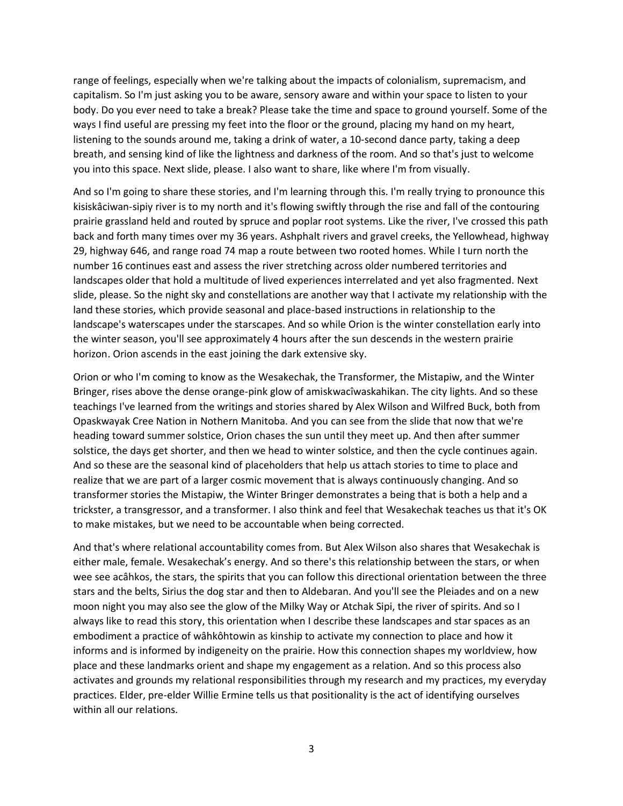range of feelings, especially when we're talking about the impacts of colonialism, supremacism, and capitalism. So I'm just asking you to be aware, sensory aware and within your space to listen to your body. Do you ever need to take a break? Please take the time and space to ground yourself. Some of the ways I find useful are pressing my feet into the floor or the ground, placing my hand on my heart, listening to the sounds around me, taking a drink of water, a 10-second dance party, taking a deep breath, and sensing kind of like the lightness and darkness of the room. And so that's just to welcome you into this space. Next slide, please. I also want to share, like where I'm from visually.

And so I'm going to share these stories, and I'm learning through this. I'm really trying to pronounce this kisiskâciwan-sipiy river is to my north and it's flowing swiftly through the rise and fall of the contouring prairie grassland held and routed by spruce and poplar root systems. Like the river, I've crossed this path back and forth many times over my 36 years. Ashphalt rivers and gravel creeks, the Yellowhead, highway 29, highway 646, and range road 74 map a route between two rooted homes. While I turn north the number 16 continues east and assess the river stretching across older numbered territories and landscapes older that hold a multitude of lived experiences interrelated and yet also fragmented. Next slide, please. So the night sky and constellations are another way that I activate my relationship with the land these stories, which provide seasonal and place-based instructions in relationship to the landscape's waterscapes under the starscapes. And so while Orion is the winter constellation early into the winter season, you'll see approximately 4 hours after the sun descends in the western prairie horizon. Orion ascends in the east joining the dark extensive sky.

Orion or who I'm coming to know as the Wesakechak, the Transformer, the Mistapiw, and the Winter Bringer, rises above the dense orange-pink glow of amiskwacîwaskahikan. The city lights. And so these teachings I've learned from the writings and stories shared by Alex Wilson and Wilfred Buck, both from Opaskwayak Cree Nation in Nothern Manitoba. And you can see from the slide that now that we're heading toward summer solstice, Orion chases the sun until they meet up. And then after summer solstice, the days get shorter, and then we head to winter solstice, and then the cycle continues again. And so these are the seasonal kind of placeholders that help us attach stories to time to place and realize that we are part of a larger cosmic movement that is always continuously changing. And so transformer stories the Mistapiw, the Winter Bringer demonstrates a being that is both a help and a trickster, a transgressor, and a transformer. I also think and feel that Wesakechak teaches us that it's OK to make mistakes, but we need to be accountable when being corrected.

And that's where relational accountability comes from. But Alex Wilson also shares that Wesakechak is either male, female. Wesakechak's energy. And so there's this relationship between the stars, or when wee see acâhkos, the stars, the spirits that you can follow this directional orientation between the three stars and the belts, Sirius the dog star and then to Aldebaran. And you'll see the Pleiades and on a new moon night you may also see the glow of the Milky Way or Atchak Sipi, the river of spirits. And so I always like to read this story, this orientation when I describe these landscapes and star spaces as an embodiment a practice of wâhkôhtowin as kinship to activate my connection to place and how it informs and is informed by indigeneity on the prairie. How this connection shapes my worldview, how place and these landmarks orient and shape my engagement as a relation. And so this process also activates and grounds my relational responsibilities through my research and my practices, my everyday practices. Elder, pre-elder Willie Ermine tells us that positionality is the act of identifying ourselves within all our relations.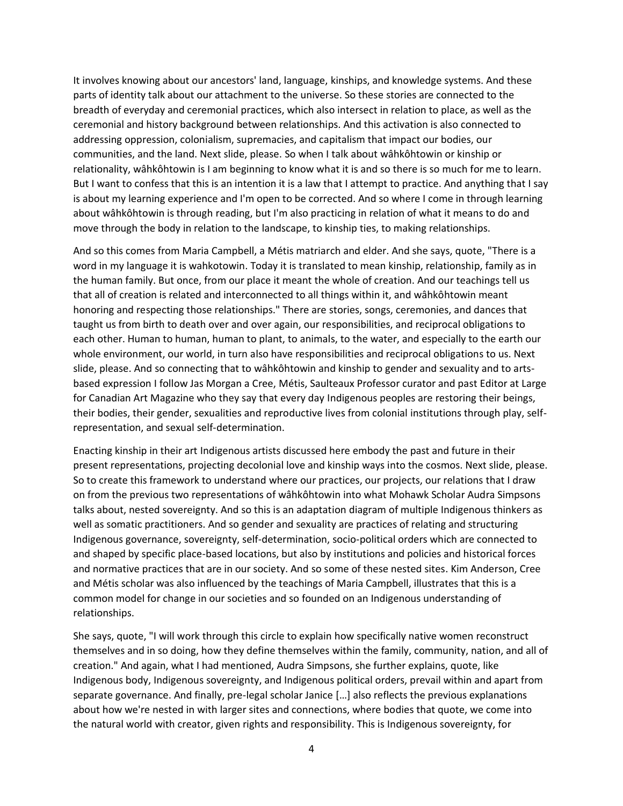It involves knowing about our ancestors' land, language, kinships, and knowledge systems. And these parts of identity talk about our attachment to the universe. So these stories are connected to the breadth of everyday and ceremonial practices, which also intersect in relation to place, as well as the ceremonial and history background between relationships. And this activation is also connected to addressing oppression, colonialism, supremacies, and capitalism that impact our bodies, our communities, and the land. Next slide, please. So when I talk about wâhkôhtowin or kinship or relationality, wâhkôhtowin is I am beginning to know what it is and so there is so much for me to learn. But I want to confess that this is an intention it is a law that I attempt to practice. And anything that I say is about my learning experience and I'm open to be corrected. And so where I come in through learning about wâhkôhtowin is through reading, but I'm also practicing in relation of what it means to do and move through the body in relation to the landscape, to kinship ties, to making relationships.

And so this comes from Maria Campbell, a Métis matriarch and elder. And she says, quote, "There is a word in my language it is wahkotowin. Today it is translated to mean kinship, relationship, family as in the human family. But once, from our place it meant the whole of creation. And our teachings tell us that all of creation is related and interconnected to all things within it, and wâhkôhtowin meant honoring and respecting those relationships." There are stories, songs, ceremonies, and dances that taught us from birth to death over and over again, our responsibilities, and reciprocal obligations to each other. Human to human, human to plant, to animals, to the water, and especially to the earth our whole environment, our world, in turn also have responsibilities and reciprocal obligations to us. Next slide, please. And so connecting that to wâhkôhtowin and kinship to gender and sexuality and to artsbased expression I follow Jas Morgan a Cree, Métis, Saulteaux Professor curator and past Editor at Large for Canadian Art Magazine who they say that every day Indigenous peoples are restoring their beings, their bodies, their gender, sexualities and reproductive lives from colonial institutions through play, selfrepresentation, and sexual self-determination.

Enacting kinship in their art Indigenous artists discussed here embody the past and future in their present representations, projecting decolonial love and kinship ways into the cosmos. Next slide, please. So to create this framework to understand where our practices, our projects, our relations that I draw on from the previous two representations of wâhkôhtowin into what Mohawk Scholar Audra Simpsons talks about, nested sovereignty. And so this is an adaptation diagram of multiple Indigenous thinkers as well as somatic practitioners. And so gender and sexuality are practices of relating and structuring Indigenous governance, sovereignty, self-determination, socio-political orders which are connected to and shaped by specific place-based locations, but also by institutions and policies and historical forces and normative practices that are in our society. And so some of these nested sites. Kim Anderson, Cree and Métis scholar was also influenced by the teachings of Maria Campbell, illustrates that this is a common model for change in our societies and so founded on an Indigenous understanding of relationships.

She says, quote, "I will work through this circle to explain how specifically native women reconstruct themselves and in so doing, how they define themselves within the family, community, nation, and all of creation." And again, what I had mentioned, Audra Simpsons, she further explains, quote, like Indigenous body, Indigenous sovereignty, and Indigenous political orders, prevail within and apart from separate governance. And finally, pre-legal scholar Janice […] also reflects the previous explanations about how we're nested in with larger sites and connections, where bodies that quote, we come into the natural world with creator, given rights and responsibility. This is Indigenous sovereignty, for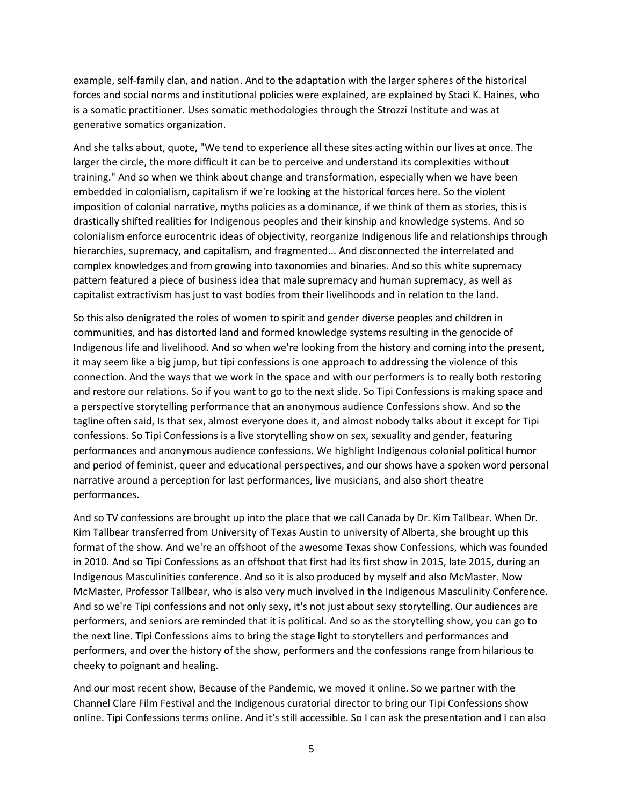example, self-family clan, and nation. And to the adaptation with the larger spheres of the historical forces and social norms and institutional policies were explained, are explained by Staci K. Haines, who is a somatic practitioner. Uses somatic methodologies through the Strozzi Institute and was at generative somatics organization.

And she talks about, quote, "We tend to experience all these sites acting within our lives at once. The larger the circle, the more difficult it can be to perceive and understand its complexities without training." And so when we think about change and transformation, especially when we have been embedded in colonialism, capitalism if we're looking at the historical forces here. So the violent imposition of colonial narrative, myths policies as a dominance, if we think of them as stories, this is drastically shifted realities for Indigenous peoples and their kinship and knowledge systems. And so colonialism enforce eurocentric ideas of objectivity, reorganize Indigenous life and relationships through hierarchies, supremacy, and capitalism, and fragmented... And disconnected the interrelated and complex knowledges and from growing into taxonomies and binaries. And so this white supremacy pattern featured a piece of business idea that male supremacy and human supremacy, as well as capitalist extractivism has just to vast bodies from their livelihoods and in relation to the land.

So this also denigrated the roles of women to spirit and gender diverse peoples and children in communities, and has distorted land and formed knowledge systems resulting in the genocide of Indigenous life and livelihood. And so when we're looking from the history and coming into the present, it may seem like a big jump, but tipi confessions is one approach to addressing the violence of this connection. And the ways that we work in the space and with our performers is to really both restoring and restore our relations. So if you want to go to the next slide. So Tipi Confessions is making space and a perspective storytelling performance that an anonymous audience Confessions show. And so the tagline often said, Is that sex, almost everyone does it, and almost nobody talks about it except for Tipi confessions. So Tipi Confessions is a live storytelling show on sex, sexuality and gender, featuring performances and anonymous audience confessions. We highlight Indigenous colonial political humor and period of feminist, queer and educational perspectives, and our shows have a spoken word personal narrative around a perception for last performances, live musicians, and also short theatre performances.

And so TV confessions are brought up into the place that we call Canada by Dr. Kim Tallbear. When Dr. Kim Tallbear transferred from University of Texas Austin to university of Alberta, she brought up this format of the show. And we're an offshoot of the awesome Texas show Confessions, which was founded in 2010. And so Tipi Confessions as an offshoot that first had its first show in 2015, late 2015, during an Indigenous Masculinities conference. And so it is also produced by myself and also McMaster. Now McMaster, Professor Tallbear, who is also very much involved in the Indigenous Masculinity Conference. And so we're Tipi confessions and not only sexy, it's not just about sexy storytelling. Our audiences are performers, and seniors are reminded that it is political. And so as the storytelling show, you can go to the next line. Tipi Confessions aims to bring the stage light to storytellers and performances and performers, and over the history of the show, performers and the confessions range from hilarious to cheeky to poignant and healing.

And our most recent show, Because of the Pandemic, we moved it online. So we partner with the Channel Clare Film Festival and the Indigenous curatorial director to bring our Tipi Confessions show online. Tipi Confessions terms online. And it's still accessible. So I can ask the presentation and I can also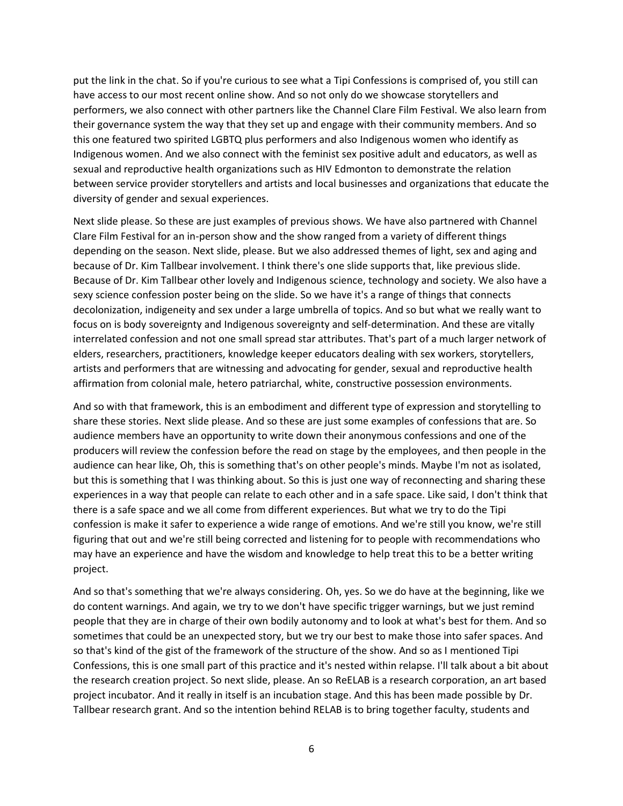put the link in the chat. So if you're curious to see what a Tipi Confessions is comprised of, you still can have access to our most recent online show. And so not only do we showcase storytellers and performers, we also connect with other partners like the Channel Clare Film Festival. We also learn from their governance system the way that they set up and engage with their community members. And so this one featured two spirited LGBTQ plus performers and also Indigenous women who identify as Indigenous women. And we also connect with the feminist sex positive adult and educators, as well as sexual and reproductive health organizations such as HIV Edmonton to demonstrate the relation between service provider storytellers and artists and local businesses and organizations that educate the diversity of gender and sexual experiences.

Next slide please. So these are just examples of previous shows. We have also partnered with Channel Clare Film Festival for an in-person show and the show ranged from a variety of different things depending on the season. Next slide, please. But we also addressed themes of light, sex and aging and because of Dr. Kim Tallbear involvement. I think there's one slide supports that, like previous slide. Because of Dr. Kim Tallbear other lovely and Indigenous science, technology and society. We also have a sexy science confession poster being on the slide. So we have it's a range of things that connects decolonization, indigeneity and sex under a large umbrella of topics. And so but what we really want to focus on is body sovereignty and Indigenous sovereignty and self-determination. And these are vitally interrelated confession and not one small spread star attributes. That's part of a much larger network of elders, researchers, practitioners, knowledge keeper educators dealing with sex workers, storytellers, artists and performers that are witnessing and advocating for gender, sexual and reproductive health affirmation from colonial male, hetero patriarchal, white, constructive possession environments.

And so with that framework, this is an embodiment and different type of expression and storytelling to share these stories. Next slide please. And so these are just some examples of confessions that are. So audience members have an opportunity to write down their anonymous confessions and one of the producers will review the confession before the read on stage by the employees, and then people in the audience can hear like, Oh, this is something that's on other people's minds. Maybe I'm not as isolated, but this is something that I was thinking about. So this is just one way of reconnecting and sharing these experiences in a way that people can relate to each other and in a safe space. Like said, I don't think that there is a safe space and we all come from different experiences. But what we try to do the Tipi confession is make it safer to experience a wide range of emotions. And we're still you know, we're still figuring that out and we're still being corrected and listening for to people with recommendations who may have an experience and have the wisdom and knowledge to help treat this to be a better writing project.

And so that's something that we're always considering. Oh, yes. So we do have at the beginning, like we do content warnings. And again, we try to we don't have specific trigger warnings, but we just remind people that they are in charge of their own bodily autonomy and to look at what's best for them. And so sometimes that could be an unexpected story, but we try our best to make those into safer spaces. And so that's kind of the gist of the framework of the structure of the show. And so as I mentioned Tipi Confessions, this is one small part of this practice and it's nested within relapse. I'll talk about a bit about the research creation project. So next slide, please. An so ReELAB is a research corporation, an art based project incubator. And it really in itself is an incubation stage. And this has been made possible by Dr. Tallbear research grant. And so the intention behind RELAB is to bring together faculty, students and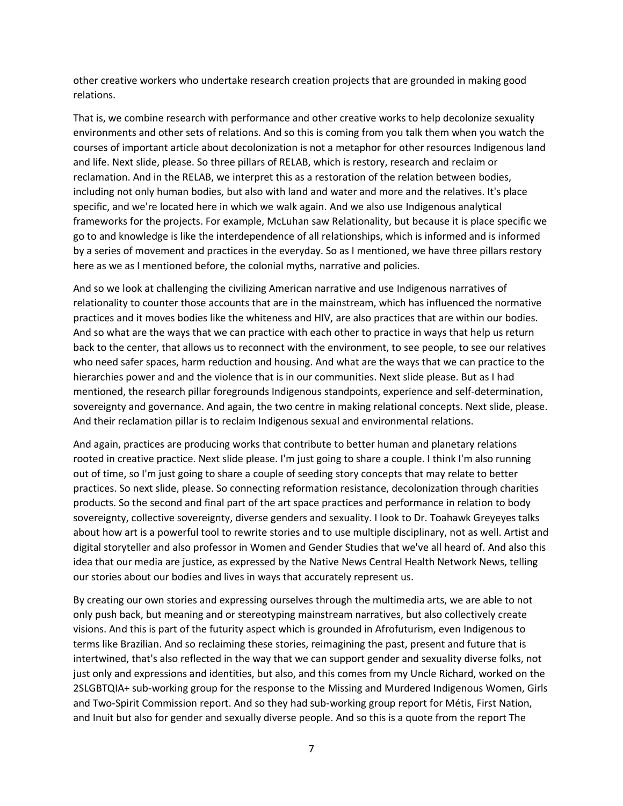other creative workers who undertake research creation projects that are grounded in making good relations.

That is, we combine research with performance and other creative works to help decolonize sexuality environments and other sets of relations. And so this is coming from you talk them when you watch the courses of important article about decolonization is not a metaphor for other resources Indigenous land and life. Next slide, please. So three pillars of RELAB, which is restory, research and reclaim or reclamation. And in the RELAB, we interpret this as a restoration of the relation between bodies, including not only human bodies, but also with land and water and more and the relatives. It's place specific, and we're located here in which we walk again. And we also use Indigenous analytical frameworks for the projects. For example, McLuhan saw Relationality, but because it is place specific we go to and knowledge is like the interdependence of all relationships, which is informed and is informed by a series of movement and practices in the everyday. So as I mentioned, we have three pillars restory here as we as I mentioned before, the colonial myths, narrative and policies.

And so we look at challenging the civilizing American narrative and use Indigenous narratives of relationality to counter those accounts that are in the mainstream, which has influenced the normative practices and it moves bodies like the whiteness and HIV, are also practices that are within our bodies. And so what are the ways that we can practice with each other to practice in ways that help us return back to the center, that allows us to reconnect with the environment, to see people, to see our relatives who need safer spaces, harm reduction and housing. And what are the ways that we can practice to the hierarchies power and and the violence that is in our communities. Next slide please. But as I had mentioned, the research pillar foregrounds Indigenous standpoints, experience and self-determination, sovereignty and governance. And again, the two centre in making relational concepts. Next slide, please. And their reclamation pillar is to reclaim Indigenous sexual and environmental relations.

And again, practices are producing works that contribute to better human and planetary relations rooted in creative practice. Next slide please. I'm just going to share a couple. I think I'm also running out of time, so I'm just going to share a couple of seeding story concepts that may relate to better practices. So next slide, please. So connecting reformation resistance, decolonization through charities products. So the second and final part of the art space practices and performance in relation to body sovereignty, collective sovereignty, diverse genders and sexuality. I look to Dr. Toahawk Greyeyes talks about how art is a powerful tool to rewrite stories and to use multiple disciplinary, not as well. Artist and digital storyteller and also professor in Women and Gender Studies that we've all heard of. And also this idea that our media are justice, as expressed by the Native News Central Health Network News, telling our stories about our bodies and lives in ways that accurately represent us.

By creating our own stories and expressing ourselves through the multimedia arts, we are able to not only push back, but meaning and or stereotyping mainstream narratives, but also collectively create visions. And this is part of the futurity aspect which is grounded in Afrofuturism, even Indigenous to terms like Brazilian. And so reclaiming these stories, reimagining the past, present and future that is intertwined, that's also reflected in the way that we can support gender and sexuality diverse folks, not just only and expressions and identities, but also, and this comes from my Uncle Richard, worked on the 2SLGBTQIA+ sub-working group for the response to the Missing and Murdered Indigenous Women, Girls and Two-Spirit Commission report. And so they had sub-working group report for Métis, First Nation, and Inuit but also for gender and sexually diverse people. And so this is a quote from the report The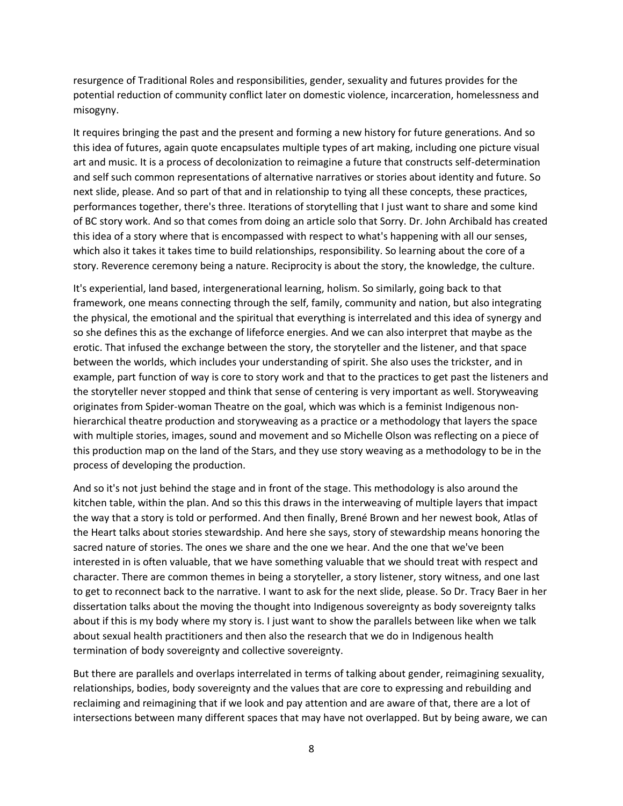resurgence of Traditional Roles and responsibilities, gender, sexuality and futures provides for the potential reduction of community conflict later on domestic violence, incarceration, homelessness and misogyny.

It requires bringing the past and the present and forming a new history for future generations. And so this idea of futures, again quote encapsulates multiple types of art making, including one picture visual art and music. It is a process of decolonization to reimagine a future that constructs self-determination and self such common representations of alternative narratives or stories about identity and future. So next slide, please. And so part of that and in relationship to tying all these concepts, these practices, performances together, there's three. Iterations of storytelling that I just want to share and some kind of BC story work. And so that comes from doing an article solo that Sorry. Dr. John Archibald has created this idea of a story where that is encompassed with respect to what's happening with all our senses, which also it takes it takes time to build relationships, responsibility. So learning about the core of a story. Reverence ceremony being a nature. Reciprocity is about the story, the knowledge, the culture.

It's experiential, land based, intergenerational learning, holism. So similarly, going back to that framework, one means connecting through the self, family, community and nation, but also integrating the physical, the emotional and the spiritual that everything is interrelated and this idea of synergy and so she defines this as the exchange of lifeforce energies. And we can also interpret that maybe as the erotic. That infused the exchange between the story, the storyteller and the listener, and that space between the worlds, which includes your understanding of spirit. She also uses the trickster, and in example, part function of way is core to story work and that to the practices to get past the listeners and the storyteller never stopped and think that sense of centering is very important as well. Storyweaving originates from Spider-woman Theatre on the goal, which was which is a feminist Indigenous nonhierarchical theatre production and storyweaving as a practice or a methodology that layers the space with multiple stories, images, sound and movement and so Michelle Olson was reflecting on a piece of this production map on the land of the Stars, and they use story weaving as a methodology to be in the process of developing the production.

And so it's not just behind the stage and in front of the stage. This methodology is also around the kitchen table, within the plan. And so this this draws in the interweaving of multiple layers that impact the way that a story is told or performed. And then finally, Brené Brown and her newest book, Atlas of the Heart talks about stories stewardship. And here she says, story of stewardship means honoring the sacred nature of stories. The ones we share and the one we hear. And the one that we've been interested in is often valuable, that we have something valuable that we should treat with respect and character. There are common themes in being a storyteller, a story listener, story witness, and one last to get to reconnect back to the narrative. I want to ask for the next slide, please. So Dr. Tracy Baer in her dissertation talks about the moving the thought into Indigenous sovereignty as body sovereignty talks about if this is my body where my story is. I just want to show the parallels between like when we talk about sexual health practitioners and then also the research that we do in Indigenous health termination of body sovereignty and collective sovereignty.

But there are parallels and overlaps interrelated in terms of talking about gender, reimagining sexuality, relationships, bodies, body sovereignty and the values that are core to expressing and rebuilding and reclaiming and reimagining that if we look and pay attention and are aware of that, there are a lot of intersections between many different spaces that may have not overlapped. But by being aware, we can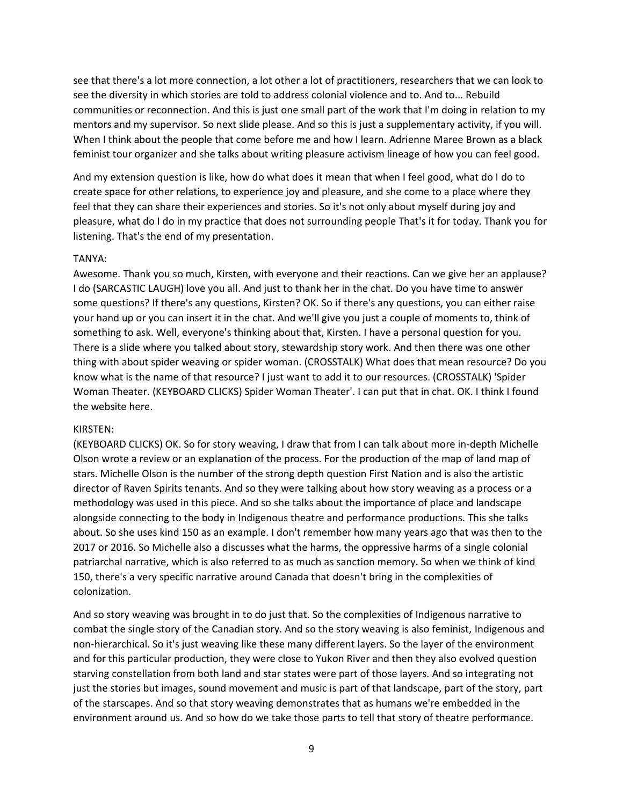see that there's a lot more connection, a lot other a lot of practitioners, researchers that we can look to see the diversity in which stories are told to address colonial violence and to. And to... Rebuild communities or reconnection. And this is just one small part of the work that I'm doing in relation to my mentors and my supervisor. So next slide please. And so this is just a supplementary activity, if you will. When I think about the people that come before me and how I learn. Adrienne Maree Brown as a black feminist tour organizer and she talks about writing pleasure activism lineage of how you can feel good.

And my extension question is like, how do what does it mean that when I feel good, what do I do to create space for other relations, to experience joy and pleasure, and she come to a place where they feel that they can share their experiences and stories. So it's not only about myself during joy and pleasure, what do I do in my practice that does not surrounding people That's it for today. Thank you for listening. That's the end of my presentation.

#### TANYA:

Awesome. Thank you so much, Kirsten, with everyone and their reactions. Can we give her an applause? I do (SARCASTIC LAUGH) love you all. And just to thank her in the chat. Do you have time to answer some questions? If there's any questions, Kirsten? OK. So if there's any questions, you can either raise your hand up or you can insert it in the chat. And we'll give you just a couple of moments to, think of something to ask. Well, everyone's thinking about that, Kirsten. I have a personal question for you. There is a slide where you talked about story, stewardship story work. And then there was one other thing with about spider weaving or spider woman. (CROSSTALK) What does that mean resource? Do you know what is the name of that resource? I just want to add it to our resources. (CROSSTALK) 'Spider Woman Theater. (KEYBOARD CLICKS) Spider Woman Theater'. I can put that in chat. OK. I think I found the website here.

#### KIRSTEN:

(KEYBOARD CLICKS) OK. So for story weaving, I draw that from I can talk about more in-depth Michelle Olson wrote a review or an explanation of the process. For the production of the map of land map of stars. Michelle Olson is the number of the strong depth question First Nation and is also the artistic director of Raven Spirits tenants. And so they were talking about how story weaving as a process or a methodology was used in this piece. And so she talks about the importance of place and landscape alongside connecting to the body in Indigenous theatre and performance productions. This she talks about. So she uses kind 150 as an example. I don't remember how many years ago that was then to the 2017 or 2016. So Michelle also a discusses what the harms, the oppressive harms of a single colonial patriarchal narrative, which is also referred to as much as sanction memory. So when we think of kind 150, there's a very specific narrative around Canada that doesn't bring in the complexities of colonization.

And so story weaving was brought in to do just that. So the complexities of Indigenous narrative to combat the single story of the Canadian story. And so the story weaving is also feminist, Indigenous and non-hierarchical. So it's just weaving like these many different layers. So the layer of the environment and for this particular production, they were close to Yukon River and then they also evolved question starving constellation from both land and star states were part of those layers. And so integrating not just the stories but images, sound movement and music is part of that landscape, part of the story, part of the starscapes. And so that story weaving demonstrates that as humans we're embedded in the environment around us. And so how do we take those parts to tell that story of theatre performance.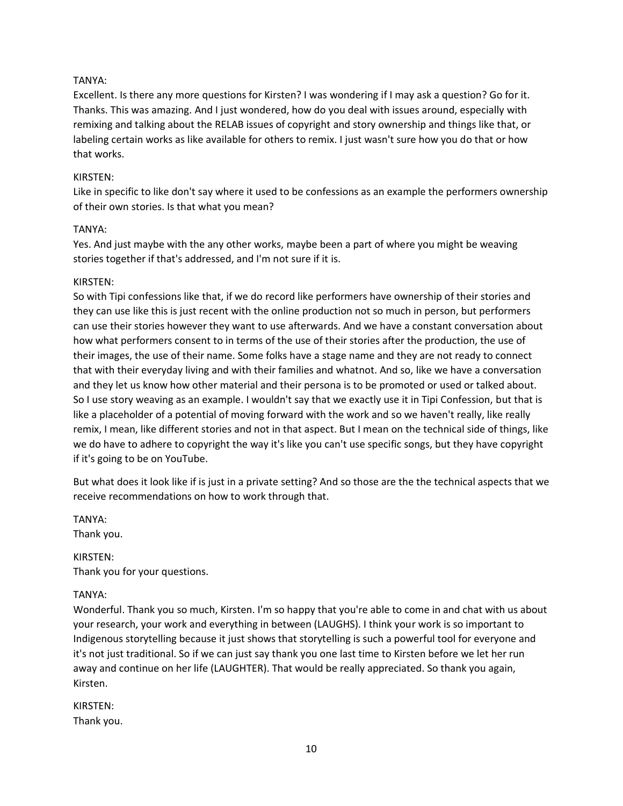## TANYA:

Excellent. Is there any more questions for Kirsten? I was wondering if I may ask a question? Go for it. Thanks. This was amazing. And I just wondered, how do you deal with issues around, especially with remixing and talking about the RELAB issues of copyright and story ownership and things like that, or labeling certain works as like available for others to remix. I just wasn't sure how you do that or how that works.

### KIRSTEN:

Like in specific to like don't say where it used to be confessions as an example the performers ownership of their own stories. Is that what you mean?

### TANYA:

Yes. And just maybe with the any other works, maybe been a part of where you might be weaving stories together if that's addressed, and I'm not sure if it is.

### KIRSTEN:

So with Tipi confessions like that, if we do record like performers have ownership of their stories and they can use like this is just recent with the online production not so much in person, but performers can use their stories however they want to use afterwards. And we have a constant conversation about how what performers consent to in terms of the use of their stories after the production, the use of their images, the use of their name. Some folks have a stage name and they are not ready to connect that with their everyday living and with their families and whatnot. And so, like we have a conversation and they let us know how other material and their persona is to be promoted or used or talked about. So I use story weaving as an example. I wouldn't say that we exactly use it in Tipi Confession, but that is like a placeholder of a potential of moving forward with the work and so we haven't really, like really remix, I mean, like different stories and not in that aspect. But I mean on the technical side of things, like we do have to adhere to copyright the way it's like you can't use specific songs, but they have copyright if it's going to be on YouTube.

But what does it look like if is just in a private setting? And so those are the the technical aspects that we receive recommendations on how to work through that.

TANYA: Thank you.

KIRSTEN: Thank you for your questions.

### TANYA:

Wonderful. Thank you so much, Kirsten. I'm so happy that you're able to come in and chat with us about your research, your work and everything in between (LAUGHS). I think your work is so important to Indigenous storytelling because it just shows that storytelling is such a powerful tool for everyone and it's not just traditional. So if we can just say thank you one last time to Kirsten before we let her run away and continue on her life (LAUGHTER). That would be really appreciated. So thank you again, Kirsten.

KIRSTEN: Thank you.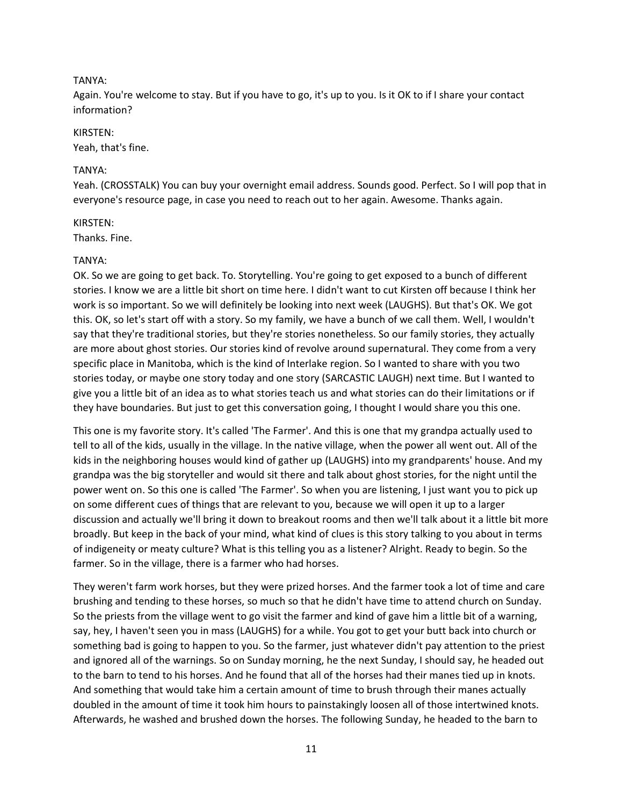### TANYA:

Again. You're welcome to stay. But if you have to go, it's up to you. Is it OK to if I share your contact information?

#### KIRSTEN:

Yeah, that's fine.

#### TANYA:

Yeah. (CROSSTALK) You can buy your overnight email address. Sounds good. Perfect. So I will pop that in everyone's resource page, in case you need to reach out to her again. Awesome. Thanks again.

#### KIRSTEN:

Thanks. Fine.

#### TANYA:

OK. So we are going to get back. To. Storytelling. You're going to get exposed to a bunch of different stories. I know we are a little bit short on time here. I didn't want to cut Kirsten off because I think her work is so important. So we will definitely be looking into next week (LAUGHS). But that's OK. We got this. OK, so let's start off with a story. So my family, we have a bunch of we call them. Well, I wouldn't say that they're traditional stories, but they're stories nonetheless. So our family stories, they actually are more about ghost stories. Our stories kind of revolve around supernatural. They come from a very specific place in Manitoba, which is the kind of Interlake region. So I wanted to share with you two stories today, or maybe one story today and one story (SARCASTIC LAUGH) next time. But I wanted to give you a little bit of an idea as to what stories teach us and what stories can do their limitations or if they have boundaries. But just to get this conversation going, I thought I would share you this one.

This one is my favorite story. It's called 'The Farmer'. And this is one that my grandpa actually used to tell to all of the kids, usually in the village. In the native village, when the power all went out. All of the kids in the neighboring houses would kind of gather up (LAUGHS) into my grandparents' house. And my grandpa was the big storyteller and would sit there and talk about ghost stories, for the night until the power went on. So this one is called 'The Farmer'. So when you are listening, I just want you to pick up on some different cues of things that are relevant to you, because we will open it up to a larger discussion and actually we'll bring it down to breakout rooms and then we'll talk about it a little bit more broadly. But keep in the back of your mind, what kind of clues is this story talking to you about in terms of indigeneity or meaty culture? What is this telling you as a listener? Alright. Ready to begin. So the farmer. So in the village, there is a farmer who had horses.

They weren't farm work horses, but they were prized horses. And the farmer took a lot of time and care brushing and tending to these horses, so much so that he didn't have time to attend church on Sunday. So the priests from the village went to go visit the farmer and kind of gave him a little bit of a warning, say, hey, I haven't seen you in mass (LAUGHS) for a while. You got to get your butt back into church or something bad is going to happen to you. So the farmer, just whatever didn't pay attention to the priest and ignored all of the warnings. So on Sunday morning, he the next Sunday, I should say, he headed out to the barn to tend to his horses. And he found that all of the horses had their manes tied up in knots. And something that would take him a certain amount of time to brush through their manes actually doubled in the amount of time it took him hours to painstakingly loosen all of those intertwined knots. Afterwards, he washed and brushed down the horses. The following Sunday, he headed to the barn to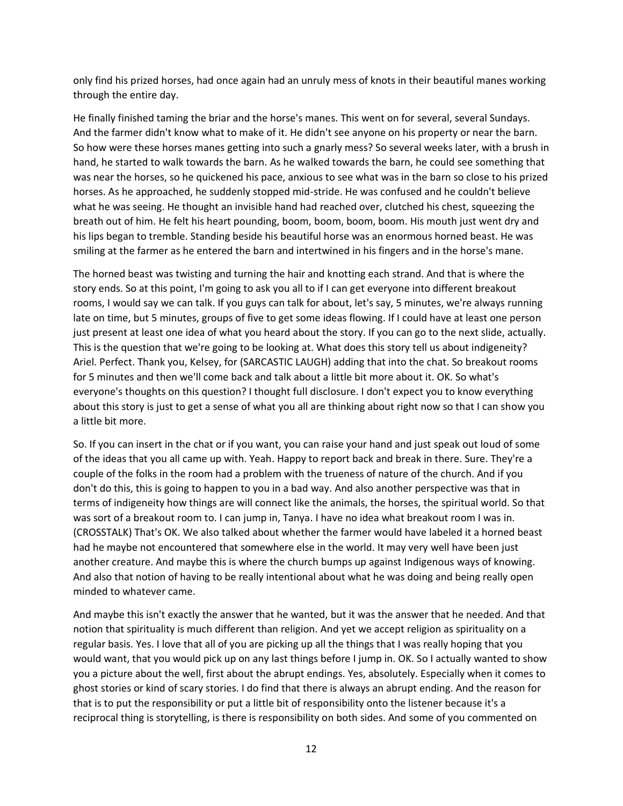only find his prized horses, had once again had an unruly mess of knots in their beautiful manes working through the entire day.

He finally finished taming the briar and the horse's manes. This went on for several, several Sundays. And the farmer didn't know what to make of it. He didn't see anyone on his property or near the barn. So how were these horses manes getting into such a gnarly mess? So several weeks later, with a brush in hand, he started to walk towards the barn. As he walked towards the barn, he could see something that was near the horses, so he quickened his pace, anxious to see what was in the barn so close to his prized horses. As he approached, he suddenly stopped mid-stride. He was confused and he couldn't believe what he was seeing. He thought an invisible hand had reached over, clutched his chest, squeezing the breath out of him. He felt his heart pounding, boom, boom, boom, boom. His mouth just went dry and his lips began to tremble. Standing beside his beautiful horse was an enormous horned beast. He was smiling at the farmer as he entered the barn and intertwined in his fingers and in the horse's mane.

The horned beast was twisting and turning the hair and knotting each strand. And that is where the story ends. So at this point, I'm going to ask you all to if I can get everyone into different breakout rooms, I would say we can talk. If you guys can talk for about, let's say, 5 minutes, we're always running late on time, but 5 minutes, groups of five to get some ideas flowing. If I could have at least one person just present at least one idea of what you heard about the story. If you can go to the next slide, actually. This is the question that we're going to be looking at. What does this story tell us about indigeneity? Ariel. Perfect. Thank you, Kelsey, for (SARCASTIC LAUGH) adding that into the chat. So breakout rooms for 5 minutes and then we'll come back and talk about a little bit more about it. OK. So what's everyone's thoughts on this question? I thought full disclosure. I don't expect you to know everything about this story is just to get a sense of what you all are thinking about right now so that I can show you a little bit more.

So. If you can insert in the chat or if you want, you can raise your hand and just speak out loud of some of the ideas that you all came up with. Yeah. Happy to report back and break in there. Sure. They're a couple of the folks in the room had a problem with the trueness of nature of the church. And if you don't do this, this is going to happen to you in a bad way. And also another perspective was that in terms of indigeneity how things are will connect like the animals, the horses, the spiritual world. So that was sort of a breakout room to. I can jump in, Tanya. I have no idea what breakout room I was in. (CROSSTALK) That's OK. We also talked about whether the farmer would have labeled it a horned beast had he maybe not encountered that somewhere else in the world. It may very well have been just another creature. And maybe this is where the church bumps up against Indigenous ways of knowing. And also that notion of having to be really intentional about what he was doing and being really open minded to whatever came.

And maybe this isn't exactly the answer that he wanted, but it was the answer that he needed. And that notion that spirituality is much different than religion. And yet we accept religion as spirituality on a regular basis. Yes. I love that all of you are picking up all the things that I was really hoping that you would want, that you would pick up on any last things before I jump in. OK. So I actually wanted to show you a picture about the well, first about the abrupt endings. Yes, absolutely. Especially when it comes to ghost stories or kind of scary stories. I do find that there is always an abrupt ending. And the reason for that is to put the responsibility or put a little bit of responsibility onto the listener because it's a reciprocal thing is storytelling, is there is responsibility on both sides. And some of you commented on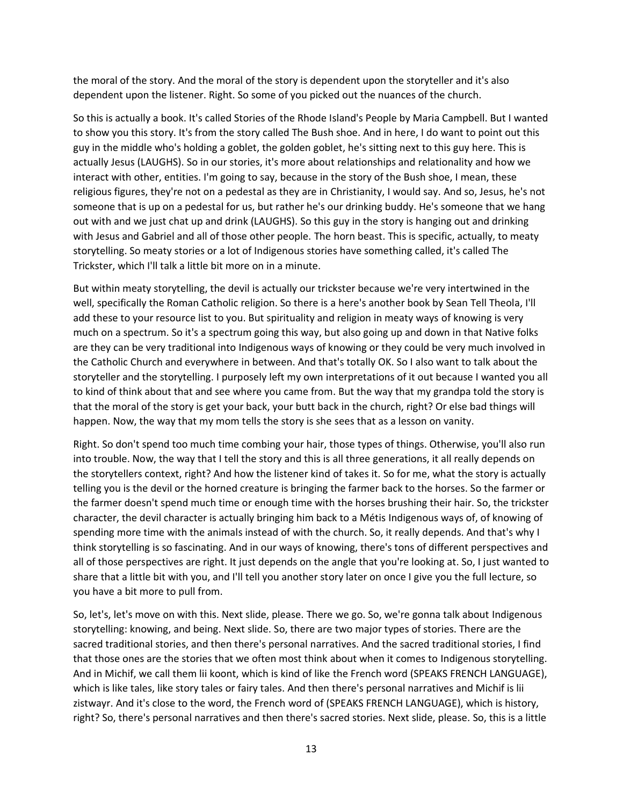the moral of the story. And the moral of the story is dependent upon the storyteller and it's also dependent upon the listener. Right. So some of you picked out the nuances of the church.

So this is actually a book. It's called Stories of the Rhode Island's People by Maria Campbell. But I wanted to show you this story. It's from the story called The Bush shoe. And in here, I do want to point out this guy in the middle who's holding a goblet, the golden goblet, he's sitting next to this guy here. This is actually Jesus (LAUGHS). So in our stories, it's more about relationships and relationality and how we interact with other, entities. I'm going to say, because in the story of the Bush shoe, I mean, these religious figures, they're not on a pedestal as they are in Christianity, I would say. And so, Jesus, he's not someone that is up on a pedestal for us, but rather he's our drinking buddy. He's someone that we hang out with and we just chat up and drink (LAUGHS). So this guy in the story is hanging out and drinking with Jesus and Gabriel and all of those other people. The horn beast. This is specific, actually, to meaty storytelling. So meaty stories or a lot of Indigenous stories have something called, it's called The Trickster, which I'll talk a little bit more on in a minute.

But within meaty storytelling, the devil is actually our trickster because we're very intertwined in the well, specifically the Roman Catholic religion. So there is a here's another book by Sean Tell Theola, I'll add these to your resource list to you. But spirituality and religion in meaty ways of knowing is very much on a spectrum. So it's a spectrum going this way, but also going up and down in that Native folks are they can be very traditional into Indigenous ways of knowing or they could be very much involved in the Catholic Church and everywhere in between. And that's totally OK. So I also want to talk about the storyteller and the storytelling. I purposely left my own interpretations of it out because I wanted you all to kind of think about that and see where you came from. But the way that my grandpa told the story is that the moral of the story is get your back, your butt back in the church, right? Or else bad things will happen. Now, the way that my mom tells the story is she sees that as a lesson on vanity.

Right. So don't spend too much time combing your hair, those types of things. Otherwise, you'll also run into trouble. Now, the way that I tell the story and this is all three generations, it all really depends on the storytellers context, right? And how the listener kind of takes it. So for me, what the story is actually telling you is the devil or the horned creature is bringing the farmer back to the horses. So the farmer or the farmer doesn't spend much time or enough time with the horses brushing their hair. So, the trickster character, the devil character is actually bringing him back to a Métis Indigenous ways of, of knowing of spending more time with the animals instead of with the church. So, it really depends. And that's why I think storytelling is so fascinating. And in our ways of knowing, there's tons of different perspectives and all of those perspectives are right. It just depends on the angle that you're looking at. So, I just wanted to share that a little bit with you, and I'll tell you another story later on once I give you the full lecture, so you have a bit more to pull from.

So, let's, let's move on with this. Next slide, please. There we go. So, we're gonna talk about Indigenous storytelling: knowing, and being. Next slide. So, there are two major types of stories. There are the sacred traditional stories, and then there's personal narratives. And the sacred traditional stories, I find that those ones are the stories that we often most think about when it comes to Indigenous storytelling. And in Michif, we call them lii koont, which is kind of like the French word (SPEAKS FRENCH LANGUAGE), which is like tales, like story tales or fairy tales. And then there's personal narratives and Michif is lii zistwayr. And it's close to the word, the French word of (SPEAKS FRENCH LANGUAGE), which is history, right? So, there's personal narratives and then there's sacred stories. Next slide, please. So, this is a little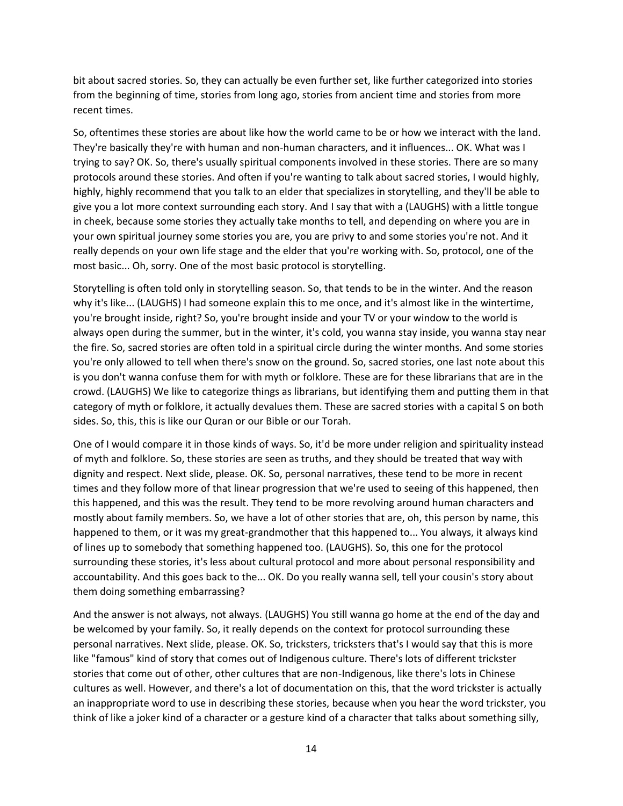bit about sacred stories. So, they can actually be even further set, like further categorized into stories from the beginning of time, stories from long ago, stories from ancient time and stories from more recent times.

So, oftentimes these stories are about like how the world came to be or how we interact with the land. They're basically they're with human and non-human characters, and it influences... OK. What was I trying to say? OK. So, there's usually spiritual components involved in these stories. There are so many protocols around these stories. And often if you're wanting to talk about sacred stories, I would highly, highly, highly recommend that you talk to an elder that specializes in storytelling, and they'll be able to give you a lot more context surrounding each story. And I say that with a (LAUGHS) with a little tongue in cheek, because some stories they actually take months to tell, and depending on where you are in your own spiritual journey some stories you are, you are privy to and some stories you're not. And it really depends on your own life stage and the elder that you're working with. So, protocol, one of the most basic... Oh, sorry. One of the most basic protocol is storytelling.

Storytelling is often told only in storytelling season. So, that tends to be in the winter. And the reason why it's like... (LAUGHS) I had someone explain this to me once, and it's almost like in the wintertime, you're brought inside, right? So, you're brought inside and your TV or your window to the world is always open during the summer, but in the winter, it's cold, you wanna stay inside, you wanna stay near the fire. So, sacred stories are often told in a spiritual circle during the winter months. And some stories you're only allowed to tell when there's snow on the ground. So, sacred stories, one last note about this is you don't wanna confuse them for with myth or folklore. These are for these librarians that are in the crowd. (LAUGHS) We like to categorize things as librarians, but identifying them and putting them in that category of myth or folklore, it actually devalues them. These are sacred stories with a capital S on both sides. So, this, this is like our Quran or our Bible or our Torah.

One of I would compare it in those kinds of ways. So, it'd be more under religion and spirituality instead of myth and folklore. So, these stories are seen as truths, and they should be treated that way with dignity and respect. Next slide, please. OK. So, personal narratives, these tend to be more in recent times and they follow more of that linear progression that we're used to seeing of this happened, then this happened, and this was the result. They tend to be more revolving around human characters and mostly about family members. So, we have a lot of other stories that are, oh, this person by name, this happened to them, or it was my great-grandmother that this happened to... You always, it always kind of lines up to somebody that something happened too. (LAUGHS). So, this one for the protocol surrounding these stories, it's less about cultural protocol and more about personal responsibility and accountability. And this goes back to the... OK. Do you really wanna sell, tell your cousin's story about them doing something embarrassing?

And the answer is not always, not always. (LAUGHS) You still wanna go home at the end of the day and be welcomed by your family. So, it really depends on the context for protocol surrounding these personal narratives. Next slide, please. OK. So, tricksters, tricksters that's I would say that this is more like "famous" kind of story that comes out of Indigenous culture. There's lots of different trickster stories that come out of other, other cultures that are non-Indigenous, like there's lots in Chinese cultures as well. However, and there's a lot of documentation on this, that the word trickster is actually an inappropriate word to use in describing these stories, because when you hear the word trickster, you think of like a joker kind of a character or a gesture kind of a character that talks about something silly,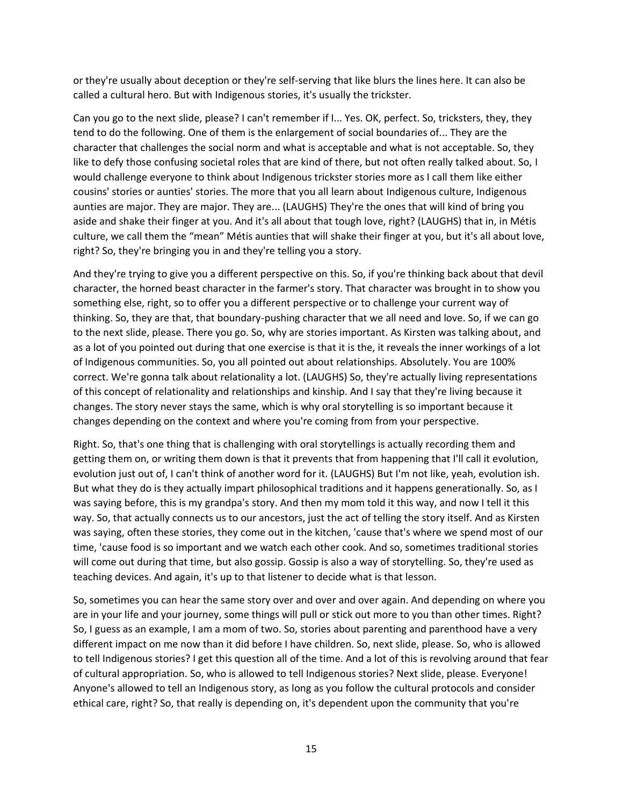or they're usually about deception or they're self-serving that like blurs the lines here. It can also be called a cultural hero. But with Indigenous stories, it's usually the trickster.

Can you go to the next slide, please? I can't remember if I... Yes. OK, perfect. So, tricksters, they, they tend to do the following. One of them is the enlargement of social boundaries of... They are the character that challenges the social norm and what is acceptable and what is not acceptable. So, they like to defy those confusing societal roles that are kind of there, but not often really talked about. So, I would challenge everyone to think about Indigenous trickster stories more as I call them like either cousins' stories or aunties' stories. The more that you all learn about Indigenous culture, Indigenous aunties are major. They are major. They are... (LAUGHS) They're the ones that will kind of bring you aside and shake their finger at you. And it's all about that tough love, right? (LAUGHS) that in, in Métis culture, we call them the "mean" Métis aunties that will shake their finger at you, but it's all about love, right? So, they're bringing you in and they're telling you a story.

And they're trying to give you a different perspective on this. So, if you're thinking back about that devil character, the horned beast character in the farmer's story. That character was brought in to show you something else, right, so to offer you a different perspective or to challenge your current way of thinking. So, they are that, that boundary-pushing character that we all need and love. So, if we can go to the next slide, please. There you go. So, why are stories important. As Kirsten was talking about, and as a lot of you pointed out during that one exercise is that it is the, it reveals the inner workings of a lot of Indigenous communities. So, you all pointed out about relationships. Absolutely. You are 100% correct. We're gonna talk about relationality a lot. (LAUGHS) So, they're actually living representations of this concept of relationality and relationships and kinship. And I say that they're living because it changes. The story never stays the same, which is why oral storytelling is so important because it changes depending on the context and where you're coming from from your perspective.

Right. So, that's one thing that is challenging with oral storytellings is actually recording them and getting them on, or writing them down is that it prevents that from happening that I'll call it evolution, evolution just out of, I can't think of another word for it. (LAUGHS) But I'm not like, yeah, evolution ish. But what they do is they actually impart philosophical traditions and it happens generationally. So, as I was saying before, this is my grandpa's story. And then my mom told it this way, and now I tell it this way. So, that actually connects us to our ancestors, just the act of telling the story itself. And as Kirsten was saying, often these stories, they come out in the kitchen, 'cause that's where we spend most of our time, 'cause food is so important and we watch each other cook. And so, sometimes traditional stories will come out during that time, but also gossip. Gossip is also a way of storytelling. So, they're used as teaching devices. And again, it's up to that listener to decide what is that lesson.

So, sometimes you can hear the same story over and over and over again. And depending on where you are in your life and your journey, some things will pull or stick out more to you than other times. Right? So, I guess as an example, I am a mom of two. So, stories about parenting and parenthood have a very different impact on me now than it did before I have children. So, next slide, please. So, who is allowed to tell Indigenous stories? I get this question all of the time. And a lot of this is revolving around that fear of cultural appropriation. So, who is allowed to tell Indigenous stories? Next slide, please. Everyone! Anyone's allowed to tell an Indigenous story, as long as you follow the cultural protocols and consider ethical care, right? So, that really is depending on, it's dependent upon the community that you're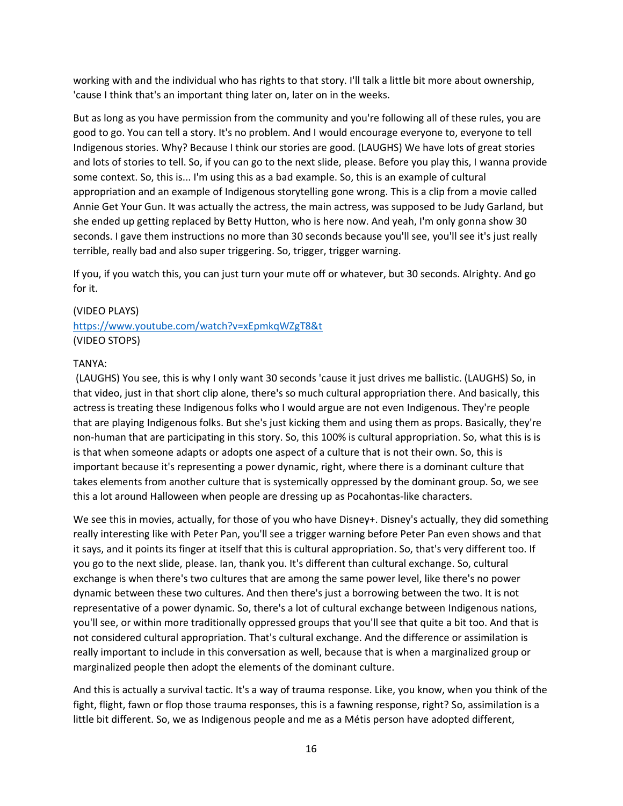working with and the individual who has rights to that story. I'll talk a little bit more about ownership, 'cause I think that's an important thing later on, later on in the weeks.

But as long as you have permission from the community and you're following all of these rules, you are good to go. You can tell a story. It's no problem. And I would encourage everyone to, everyone to tell Indigenous stories. Why? Because I think our stories are good. (LAUGHS) We have lots of great stories and lots of stories to tell. So, if you can go to the next slide, please. Before you play this, I wanna provide some context. So, this is... I'm using this as a bad example. So, this is an example of cultural appropriation and an example of Indigenous storytelling gone wrong. This is a clip from a movie called Annie Get Your Gun. It was actually the actress, the main actress, was supposed to be Judy Garland, but she ended up getting replaced by Betty Hutton, who is here now. And yeah, I'm only gonna show 30 seconds. I gave them instructions no more than 30 seconds because you'll see, you'll see it's just really terrible, really bad and also super triggering. So, trigger, trigger warning.

If you, if you watch this, you can just turn your mute off or whatever, but 30 seconds. Alrighty. And go for it.

### (VIDEO PLAYS)

<https://www.youtube.com/watch?v=xEpmkqWZgT8&t> (VIDEO STOPS)

#### TANYA:

(LAUGHS) You see, this is why I only want 30 seconds 'cause it just drives me ballistic. (LAUGHS) So, in that video, just in that short clip alone, there's so much cultural appropriation there. And basically, this actress is treating these Indigenous folks who I would argue are not even Indigenous. They're people that are playing Indigenous folks. But she's just kicking them and using them as props. Basically, they're non-human that are participating in this story. So, this 100% is cultural appropriation. So, what this is is is that when someone adapts or adopts one aspect of a culture that is not their own. So, this is important because it's representing a power dynamic, right, where there is a dominant culture that takes elements from another culture that is systemically oppressed by the dominant group. So, we see this a lot around Halloween when people are dressing up as Pocahontas-like characters.

We see this in movies, actually, for those of you who have Disney+. Disney's actually, they did something really interesting like with Peter Pan, you'll see a trigger warning before Peter Pan even shows and that it says, and it points its finger at itself that this is cultural appropriation. So, that's very different too. If you go to the next slide, please. Ian, thank you. It's different than cultural exchange. So, cultural exchange is when there's two cultures that are among the same power level, like there's no power dynamic between these two cultures. And then there's just a borrowing between the two. It is not representative of a power dynamic. So, there's a lot of cultural exchange between Indigenous nations, you'll see, or within more traditionally oppressed groups that you'll see that quite a bit too. And that is not considered cultural appropriation. That's cultural exchange. And the difference or assimilation is really important to include in this conversation as well, because that is when a marginalized group or marginalized people then adopt the elements of the dominant culture.

And this is actually a survival tactic. It's a way of trauma response. Like, you know, when you think of the fight, flight, fawn or flop those trauma responses, this is a fawning response, right? So, assimilation is a little bit different. So, we as Indigenous people and me as a Métis person have adopted different,